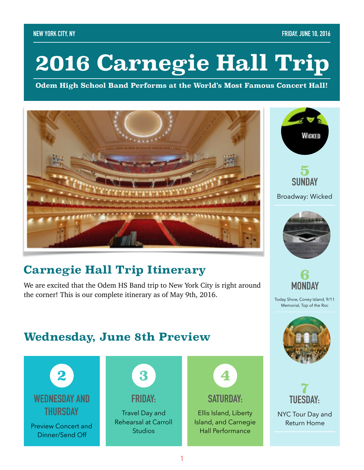#### **NEW YORK CITY, NY FRIDAY, JUNE 10, 2016**

# **2016 Carnegie Hall Trip**

**Odem High School Band Performs at the World's Most Famous Concert Hall!**



# **Carnegie Hall Trip Itinerary**

We are excited that the Odem HS Band trip to New York City is right around the corner! This is our complete itinerary as of May 9th, 2016.





NYC Tour Day and Return Home

**TUESDAY:** 

## **Wednesday, June 8th Preview**

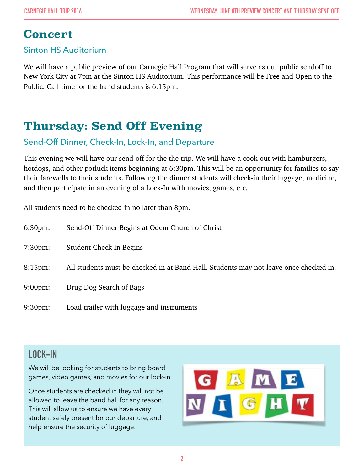# **Concert**

#### Sinton HS Auditorium

We will have a public preview of our Carnegie Hall Program that will serve as our public sendoff to New York City at 7pm at the Sinton HS Auditorium. This performance will be Free and Open to the Public. Call time for the band students is 6:15pm.

# **Thursday: Send Off Evening**

#### Send-Off Dinner, Check-In, Lock-In, and Departure

This evening we will have our send-off for the the trip. We will have a cook-out with hamburgers, hotdogs, and other potluck items beginning at 6:30pm. This will be an opportunity for families to say their farewells to their students. Following the dinner students will check-in their luggage, medicine, and then participate in an evening of a Lock-In with movies, games, etc.

All students need to be checked in no later than 8pm.

| $6:30 \text{pm}$ : | Send-Off Dinner Begins at Odem Church of Christ                                       |
|--------------------|---------------------------------------------------------------------------------------|
| $7:30 \text{pm}$ : | Student Check-In Begins                                                               |
| $8:15$ pm:         | All students must be checked in at Band Hall. Students may not leave once checked in. |
| $9:00 \text{pm}$ : | Drug Dog Search of Bags                                                               |
| $9:30 \text{pm}$ : | Load trailer with luggage and instruments                                             |

## **LOCK-IN**

We will be looking for students to bring board games, video games, and movies for our lock-in.

Once students are checked in they will not be allowed to leave the band hall for any reason. This will allow us to ensure we have every student safely present for our departure, and help ensure the security of luggage.

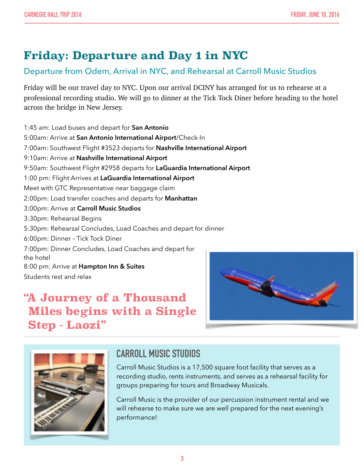# **Friday: Departure and Day 1 in NYC**

#### Departure from Odem, Arrival in NYC, and Rehearsal at Carroll Music Studios

Friday will be our travel day to NYC. Upon our arrival DCINY has arranged for us to rehearse at a professional recording studio. We will go to dinner at the Tick Tock Diner before heading to the hotel across the bridge in New Jersey.

1:45 am: Load buses and depart for **San Antonio** 5:00am: Arrive at **San Antonio International Airport**/Check-In 7:00am: Southwest Flight #3523 departs for **Nashville International Airport** 9:10am: Arrive at **Nashville International Airport**  9:50am: Southwest Flight #2958 departs for **LaGuardia International Airport** 1:00 pm: Flight Arrives at **LaGuardia International Airport** Meet with GTC Representative near baggage claim 2:00pm: Load transfer coaches and departs for **Manhattan** 3:00pm: Arrive at **Carroll Music Studios** 3:30pm: Rehearsal Begins 5:30pm: Rehearsal Concludes, Load Coaches and depart for dinner 6:00pm: Dinner – Tick Tock Diner 7:00pm: Dinner Concludes, Load Coaches and depart for the hotel 8:00 pm: Arrive at **Hampton Inn & Suites** Students rest and relax

# **"A Journey of a Thousand Miles begins with a Single Step - Laozi"**





## **CARROLL MUSIC STUDIOS**

Carroll Music Studios is a 17,500 square foot facility that serves as a recording studio, rents instruments, and serves as a rehearsal facility for groups preparing for tours and Broadway Musicals.

Carroll Music is the provider of our percussion instrument rental and we will rehearse to make sure we are well prepared for the next evening's performance!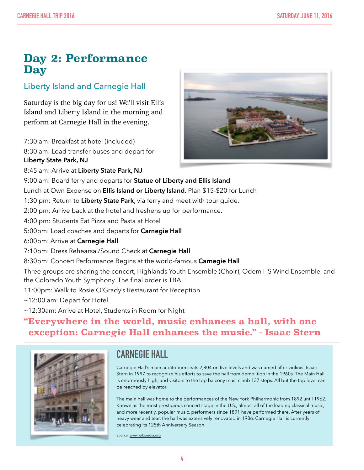## **Day 2: Performance Day**

#### Liberty Island and Carnegie Hall

Saturday is the big day for us! We'll visit Ellis Island and Liberty Island in the morning and perform at Carnegie Hall in the evening.

7:30 am: Breakfast at hotel (included)

8:30 am: Load transfer buses and depart for **Liberty State Park, NJ**

8:45 am: Arrive at **Liberty State Park, NJ**



9:00 am: Board ferry and departs for **Statue of Liberty and Ellis Island** 

Lunch at Own Expense on **Ellis Island or Liberty Island.** Plan \$15-\$20 for Lunch

1:30 pm: Return to **Liberty State Park**, via ferry and meet with tour guide.

2:00 pm: Arrive back at the hotel and freshens up for performance.

4:00 pm: Students Eat Pizza and Pasta at Hotel

5:00pm: Load coaches and departs for **Carnegie Hall**

6:00pm: Arrive at **Carnegie Hall**

7:10pm: Dress Rehearsal/Sound Check at **Carnegie Hall** 

8:30pm: Concert Performance Begins at the world-famous **Carnegie Hall** 

Three groups are sharing the concert, Highlands Youth Ensemble (Choir), Odem HS Wind Ensemble, and the Colorado Youth Symphony. The final order is TBA.

11:00pm: Walk to Rosie O'Grady's Restaurant for Reception

~12:00 am: Depart for Hotel.

~12:30am: Arrive at Hotel, Students in Room for Night

**"Everywhere in the world, music enhances a hall, with one exception: Carnegie Hall enhances the music." - Isaac Stern**



## **CARNEGIE HALL**

Carnegie Hall's main auditorium seats 2,804 on five levels and was named after violinist Isaac Stern in 1997 to recognize his efforts to save the hall from demolition in the 1960s. The Main Hall is enormously high, and visitors to the top balcony must climb 137 steps. All but the top level can be reached by elevator.

The main hall was home to the performances of the New York Philharmonic from 1892 until 1962. Known as the most prestigious concert stage in the U.S., almost all of the leading classical music, and more recently, popular music, performers since 1891 have performed there. After years of heavy wear and tear, the hall was extensively renovated in 1986. Carnegie Hall is currently celebrating its 125th Anniversary Season.

Source: [www.wikipedia.org](http://www.wikipedia.org)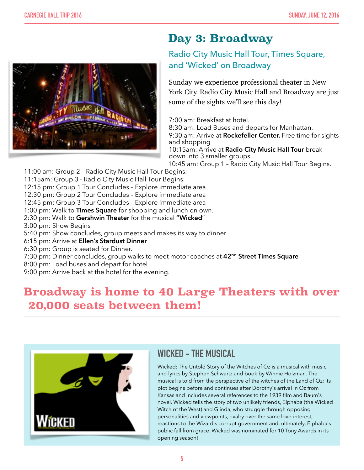

## **Day 3: Broadway**

#### Radio City Music Hall Tour, Times Square, and 'Wicked' on Broadway

Sunday we experience professional theater in New York City. Radio City Music Hall and Broadway are just some of the sights we'll see this day!

7:00 am: Breakfast at hotel.

8:30 am: Load Buses and departs for Manhattan. 9:30 am: Arrive at **Rockefeller Center.** Free time for sights

and shopping 10:15am: Arrive at **Radio City Music Hall Tour** break down into 3 smaller groups.

10:45 am: Group 1 – Radio City Music Hall Tour Begins.

- 11:00 am: Group 2 Radio City Music Hall Tour Begins.
- 11:15am: Group 3 Radio City Music Hall Tour Begins.

12:15 pm: Group 1 Tour Concludes – Explore immediate area

- 12:30 pm: Group 2 Tour Concludes Explore immediate area
- 12:45 pm: Group 3 Tour Concludes Explore immediate area
- 1:00 pm: Walk to **Times Square** for shopping and lunch on own.
- 2:30 pm: Walk to **Gershwin Theater** for the musical **"Wicked**"
- 3:00 pm: Show Begins
- 5:40 pm: Show concludes, group meets and makes its way to dinner.
- 6:15 pm: Arrive at **Ellen's Stardust Dinner**
- 6:30 pm: Group is seated for Dinner.
- 7:30 pm: Dinner concludes, group walks to meet motor coaches at **42nd Street Times Square**
- 8:00 pm: Load buses and depart for hotel
- 9:00 pm: Arrive back at the hotel for the evening.

# **Broadway is home to 40 Large Theaters with over 20,000 seats between them!**



## **WICKED - THE MUSICAL**

Wicked: The Untold Story of the Witches of Oz is a musical with music and lyrics by Stephen Schwartz and book by Winnie Holzman. The musical is told from the perspective of the witches of the Land of Oz; its plot begins before and continues after Dorothy's arrival in Oz from Kansas and includes several references to the 1939 film and Baum's novel. Wicked tells the story of two unlikely friends, Elphaba (the Wicked Witch of the West) and Glinda, who struggle through opposing personalities and viewpoints, rivalry over the same love-interest, reactions to the Wizard's corrupt government and, ultimately, Elphaba's public fall from grace. Wicked was nominated for 10 Tony Awards in its opening season!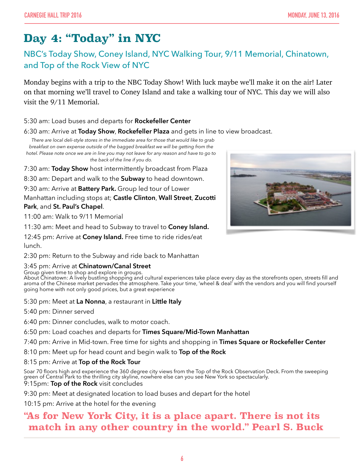# **Day 4: "Today" in NYC**

#### NBC's Today Show, Coney Island, NYC Walking Tour, 9/11 Memorial, Chinatown, and Top of the Rock View of NYC

Monday begins with a trip to the NBC Today Show! With luck maybe we'll make it on the air! Later on that morning we'll travel to Coney Island and take a walking tour of NYC. This day we will also visit the 9/11 Memorial.

5:30 am: Load buses and departs for **Rockefeller Center**

6:30 am: Arrive at **Today Show**, **Rockefeller Plaza** and gets in line to view broadcast.

*There are local deli-style stores in the immediate area for those that would like to grab breakfast on own expense outside of the bagged breakfast we will be getting from the hotel. Please note once we are in line you may not leave for any reason and have to go to the back of the line if you do.*

7:30 am: **Today Show** host intermittently broadcast from Plaza

8:30 am: Depart and walk to the **Subway** to head downtown.

9:30 am: Arrive at **Battery Park.** Group led tour of Lower

Manhattan including stops at; **Castle Clinton**, **Wall Street**, **Zucotti Park**, and **St. Paul's Chapel**.

11:00 am: Walk to 9/11 Memorial

11:30 am: Meet and head to Subway to travel to **Coney Island.**

12:45 pm: Arrive at **Coney Island.** Free time to ride rides/eat lunch.

2:30 pm: Return to the Subway and ride back to Manhattan

#### 3:45 pm: Arrive at **Chinatown/Canal Street**

Group given time to shop and explore in groups.

About Chinatown: A lively bustling shopping and cultural experiences take place every day as the storefronts open, streets fill and aroma of the Chinese market pervades the atmosphere. Take your time, 'wheel & deal' with the vendors and you will find yourself going home with not only good prices, but a great experience

5:30 pm: Meet at **La Nonna**, a restaurant in **Little Italy**

5:40 pm: Dinner served

6:40 pm: Dinner concludes, walk to motor coach.

6:50 pm: Load coaches and departs for **Times Square/Mid-Town Manhattan** 

7:40 pm: Arrive in Mid-town. Free time for sights and shopping in **Times Square or Rockefeller Center**

8:10 pm: Meet up for head count and begin walk to **Top of the Rock**

8:15 pm: Arrive at **Top of the Rock Tour**

Soar 70 floors high and experience the 360 degree city views from the Top of the Rock Observation Deck. From the sweeping green of Central Park to the thrilling city skyline, nowhere else can you see New York so spectacularly. 9:15pm: **Top of the Rock** visit concludes

9:30 pm: Meet at designated location to load buses and depart for the hotel

10:15 pm: Arrive at the hotel for the evening

### **"As for New York City, it is a place apart. There is not its match in any other country in the world." Pearl S. Buck**